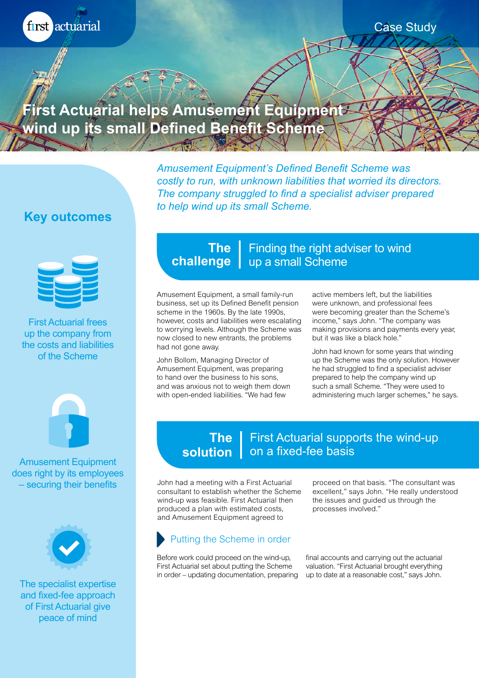first actuarial

### Case Study

**First Actuarial helps Amusement Equipment wind up its small Defined Benefit Scheme**

> *Amusement Equipment's Defined Benefit Scheme was costly to run, with unknown liabilities that worried its directors. The company struggled to find a specialist adviser prepared to help wind up its small Scheme.*

# **Key outcomes**



First Actuarial frees up the company from the costs and liabilities of the Scheme



Amusement Equipment does right by its employees – securing their benefits



The specialist expertise and fixed-fee approach of First Actuarial give peace of mind

## **The** | Finding the right adviser to wind **challenge** | up a small Scheme

Amusement Equipment, a small family-run business, set up its Defined Benefit pension scheme in the 1960s. By the late 1990s, however, costs and liabilities were escalating to worrying levels. Although the Scheme was now closed to new entrants, the problems had not gone away.

John Bollom, Managing Director of Amusement Equipment, was preparing to hand over the business to his sons, and was anxious not to weigh them down with open-ended liabilities. "We had few

active members left, but the liabilities were unknown, and professional fees were becoming greater than the Scheme's income," says John. "The company was making provisions and payments every year, but it was like a black hole."

John had known for some years that winding up the Scheme was the only solution. However he had struggled to find a specialist adviser prepared to help the company wind up such a small Scheme. "They were used to administering much larger schemes," he says.

#### First Actuarial supports the wind-up **solution** | on a fixed-fee basis **The**

John had a meeting with a First Actuarial consultant to establish whether the Scheme wind-up was feasible. First Actuarial then produced a plan with estimated costs, and Amusement Equipment agreed to

## Putting the Scheme in order

Before work could proceed on the wind-up, First Actuarial set about putting the Scheme in order – updating documentation, preparing

proceed on that basis. "The consultant was excellent," says John. "He really understood the issues and guided us through the processes involved."

final accounts and carrying out the actuarial valuation. "First Actuarial brought everything up to date at a reasonable cost," says John.